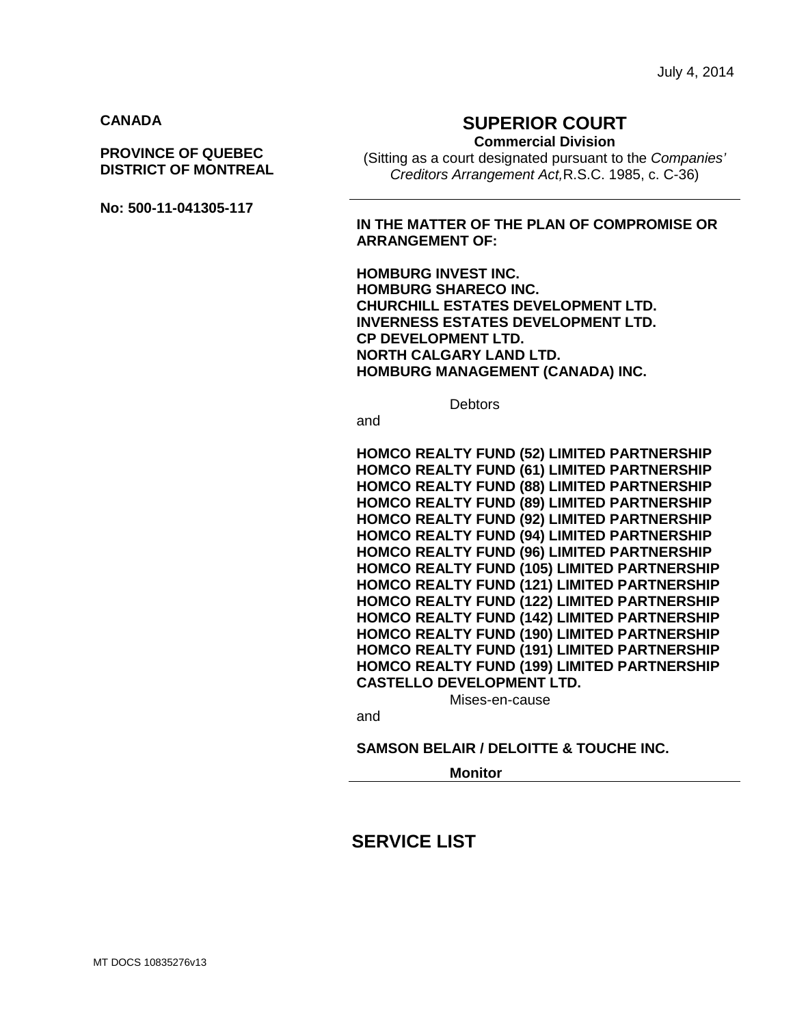### **CANADA**

### **PROVINCE OF QUEBEC DISTRICT OF MONTREAL**

**No: 500-11-041305-117**

# **SUPERIOR COURT**

**Commercial Division**

(Sitting as a court designated pursuant to the *Companies' Creditors Arrangement Act,*R.S.C. 1985, c. C-36)

### **IN THE MATTER OF THE PLAN OF COMPROMISE OR ARRANGEMENT OF:**

**HOMBURG INVEST INC. HOMBURG SHARECO INC. CHURCHILL ESTATES DEVELOPMENT LTD. INVERNESS ESTATES DEVELOPMENT LTD. CP DEVELOPMENT LTD. NORTH CALGARY LAND LTD. HOMBURG MANAGEMENT (CANADA) INC.**

**Debtors** 

and

**HOMCO REALTY FUND (52) LIMITED PARTNERSHIP HOMCO REALTY FUND (61) LIMITED PARTNERSHIP HOMCO REALTY FUND (88) LIMITED PARTNERSHIP HOMCO REALTY FUND (89) LIMITED PARTNERSHIP HOMCO REALTY FUND (92) LIMITED PARTNERSHIP HOMCO REALTY FUND (94) LIMITED PARTNERSHIP HOMCO REALTY FUND (96) LIMITED PARTNERSHIP HOMCO REALTY FUND (105) LIMITED PARTNERSHIP HOMCO REALTY FUND (121) LIMITED PARTNERSHIP HOMCO REALTY FUND (122) LIMITED PARTNERSHIP HOMCO REALTY FUND (142) LIMITED PARTNERSHIP HOMCO REALTY FUND (190) LIMITED PARTNERSHIP HOMCO REALTY FUND (191) LIMITED PARTNERSHIP HOMCO REALTY FUND (199) LIMITED PARTNERSHIP CASTELLO DEVELOPMENT LTD.**

Mises-en-cause

and

#### **SAMSON BELAIR / DELOITTE & TOUCHE INC.**

**Monitor**

# **SERVICE LIST**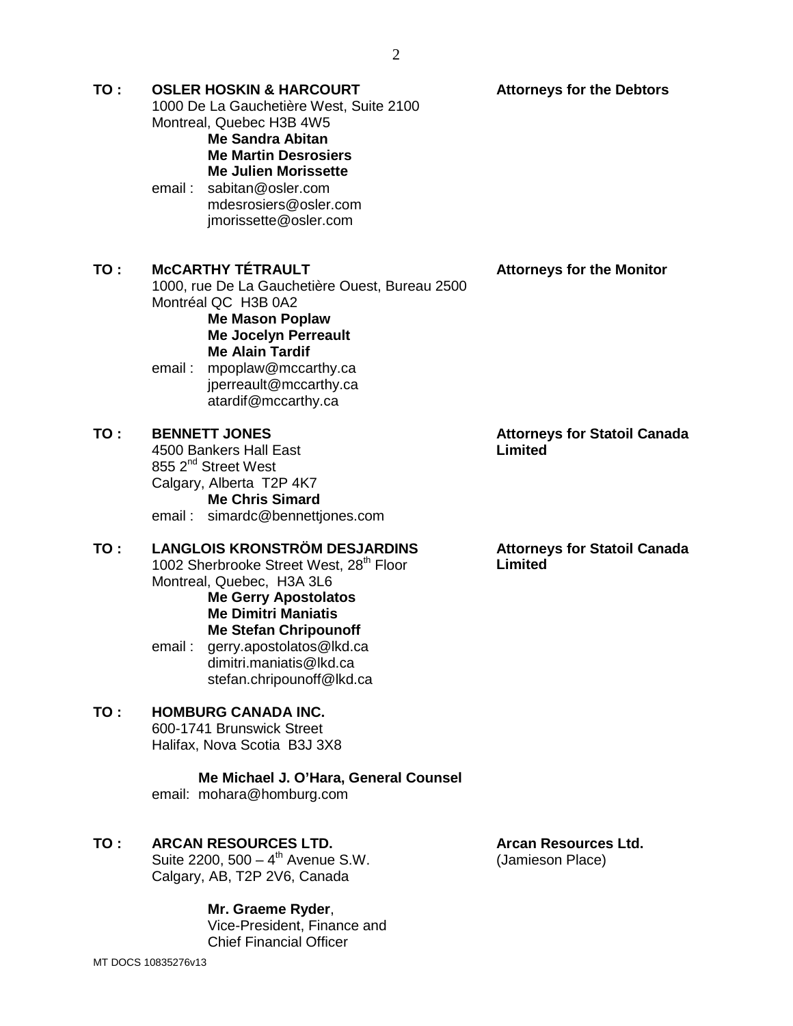**Attorneys for the Debtors**

**TO : OSLER HOSKIN & HARCOURT** 

|     | 1000 De La Gauchetière West, Suite 2100<br>Montreal, Quebec H3B 4W5<br><b>Me Sandra Abitan</b><br><b>Me Martin Desrosiers</b><br><b>Me Julien Morissette</b><br>sabitan@osler.com<br>email :<br>mdesrosiers@osler.com<br>jmorissette@osler.com                                                          |                                                 |
|-----|---------------------------------------------------------------------------------------------------------------------------------------------------------------------------------------------------------------------------------------------------------------------------------------------------------|-------------------------------------------------|
| TO: | <b>MCCARTHY TÉTRAULT</b><br>1000, rue De La Gauchetière Ouest, Bureau 2500<br>Montréal QC H3B 0A2<br><b>Me Mason Poplaw</b><br><b>Me Jocelyn Perreault</b><br><b>Me Alain Tardif</b><br>email: mpoplaw@mccarthy.ca<br>jperreault@mccarthy.ca<br>atardif@mccarthy.ca                                     | <b>Attorneys for the Monitor</b>                |
| TO: | <b>BENNETT JONES</b><br>4500 Bankers Hall East<br>855 2 <sup>nd</sup> Street West<br>Calgary, Alberta T2P 4K7<br><b>Me Chris Simard</b><br>email: simardc@bennettjones.com                                                                                                                              | <b>Attorneys for Statoil Canada</b><br>Limited  |
| TO: | <b>LANGLOIS KRONSTRÖM DESJARDINS</b><br>1002 Sherbrooke Street West, 28th Floor<br>Montreal, Quebec, H3A 3L6<br><b>Me Gerry Apostolatos</b><br><b>Me Dimitri Maniatis</b><br><b>Me Stefan Chripounoff</b><br>gerry.apostolatos@lkd.ca<br>email:<br>dimitri.maniatis@lkd.ca<br>stefan.chripounoff@lkd.ca | <b>Attorneys for Statoil Canada</b><br>Limited  |
| TO: | <b>HOMBURG CANADA INC.</b><br>600-1741 Brunswick Street<br>Halifax, Nova Scotia B3J 3X8<br>Me Michael J. O'Hara, General Counsel<br>email: mohara@homburg.com                                                                                                                                           |                                                 |
| TO: | <b>ARCAN RESOURCES LTD.</b><br>Suite 2200, $500 - 4^{th}$ Avenue S.W.<br>Calgary, AB, T2P 2V6, Canada                                                                                                                                                                                                   | <b>Arcan Resources Ltd.</b><br>(Jamieson Place) |

MT DOCS 10835276v13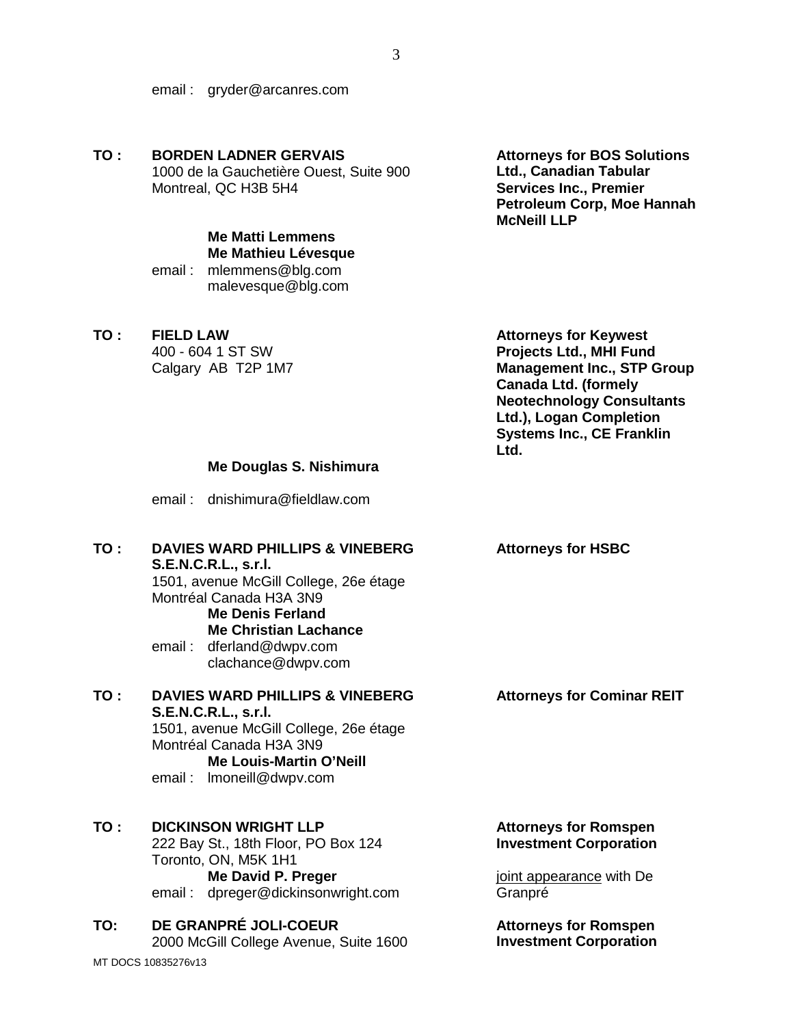email : gryder@arcanres.com

**TO : BORDEN LADNER GERVAIS**  1000 de la Gauchetière Ouest, Suite 900 Montreal, QC H3B 5H4

# **Me Matti Lemmens Me Mathieu Lévesque**

email : mlemmens@blg.com malevesque@blg.com

**TO : FIELD LAW**

400 - 604 1 ST SW Calgary AB T2P 1M7

**Attorneys for BOS Solutions Ltd., Canadian Tabular Services Inc., Premier Petroleum Corp, Moe Hannah McNeill LLP**

**Attorneys for Keywest Projects Ltd., MHI Fund Management Inc., STP Group Canada Ltd. (formely Neotechnology Consultants Ltd.), Logan Completion Systems Inc., CE Franklin Ltd.**

### **Me Douglas S. Nishimura**

email : dnishimura@fieldlaw.com

### **TO : DAVIES WARD PHILLIPS & VINEBERG S.E.N.C.R.L., s.r.l.**

1501, avenue McGill College, 26e étage Montréal Canada H3A 3N9 **Me Denis Ferland**

### **Me Christian Lachance**

email : dferland@dwpv.com clachance@dwpv.com

## **TO : DAVIES WARD PHILLIPS & VINEBERG S.E.N.C.R.L., s.r.l.** 1501, avenue McGill College, 26e étage Montréal Canada H3A 3N9 **Me Louis-Martin O'Neill**

email : lmoneill@dwpv.com

## **TO : DICKINSON WRIGHT LLP**

222 Bay St., 18th Floor, PO Box 124 Toronto, ON, M5K 1H1 **Me David P. Preger** email : dpreger@dickinsonwright.com

#### **TO: DE GRANPRÉ JOLI-COEUR** 2000 McGill College Avenue, Suite 1600

MT DOCS 10835276v13

**Attorneys for HSBC**

#### **Attorneys for Cominar REIT**

### **Attorneys for Romspen Investment Corporation**

joint appearance with De Granpré

**Attorneys for Romspen Investment Corporation**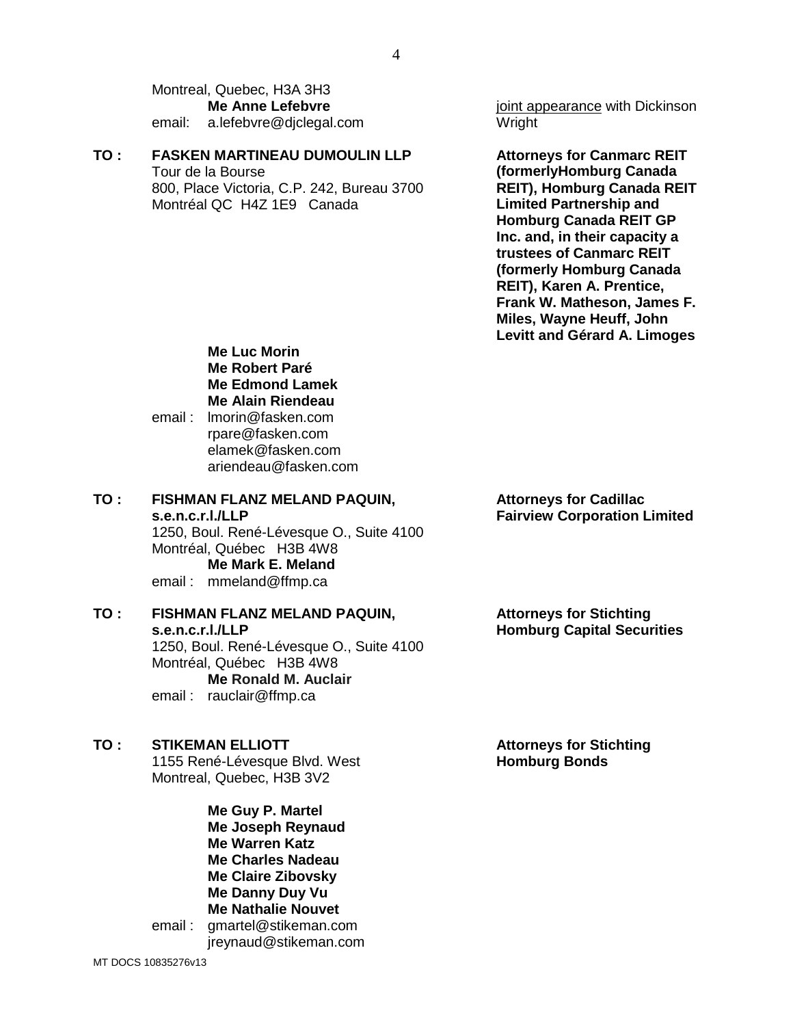Montreal, Quebec, H3A 3H3 **Me Anne Lefebvre** email: a.lefebvre@djclegal.com

#### **TO : FASKEN MARTINEAU DUMOULIN LLP**

Tour de la Bourse 800, Place Victoria, C.P. 242, Bureau 3700 Montréal QC H4Z 1E9 Canada

joint appearance with Dickinson **Wright** 

**Attorneys for Canmarc REIT (formerlyHomburg Canada REIT), Homburg Canada REIT Limited Partnership and Homburg Canada REIT GP Inc. and, in their capacity a trustees of Canmarc REIT (formerly Homburg Canada REIT), Karen A. Prentice, Frank W. Matheson, James F. Miles, Wayne Heuff, John Levitt and Gérard A. Limoges**

**Me Luc Morin Me Robert Paré Me Edmond Lamek Me Alain Riendeau**

email : lmorin@fasken.com rpare@fasken.com elamek@fasken.com ariendeau@fasken.com

**TO : FISHMAN FLANZ MELAND PAQUIN, s.e.n.c.r.l./LLP** 1250, Boul. René-Lévesque O., Suite 4100 Montréal, Québec H3B 4W8 **Me Mark E. Meland** email : mmeland@ffmp.ca

### **TO : FISHMAN FLANZ MELAND PAQUIN, s.e.n.c.r.l./LLP** 1250, Boul. René-Lévesque O., Suite 4100 Montréal, Québec H3B 4W8 **Me Ronald M. Auclair**

email : rauclair@ffmp.ca

### **TO : STIKEMAN ELLIOTT**

1155 René-Lévesque Blvd. West Montreal, Quebec, H3B 3V2

**Me Guy P. Martel Me Joseph Reynaud Me Warren Katz Me Charles Nadeau Me Claire Zibovsky Me Danny Duy Vu Me Nathalie Nouvet** email : gmartel@stikeman.com jreynaud@stikeman.com **Attorneys for Cadillac Fairview Corporation Limited**

**Attorneys for Stichting Homburg Capital Securities**

**Attorneys for Stichting Homburg Bonds**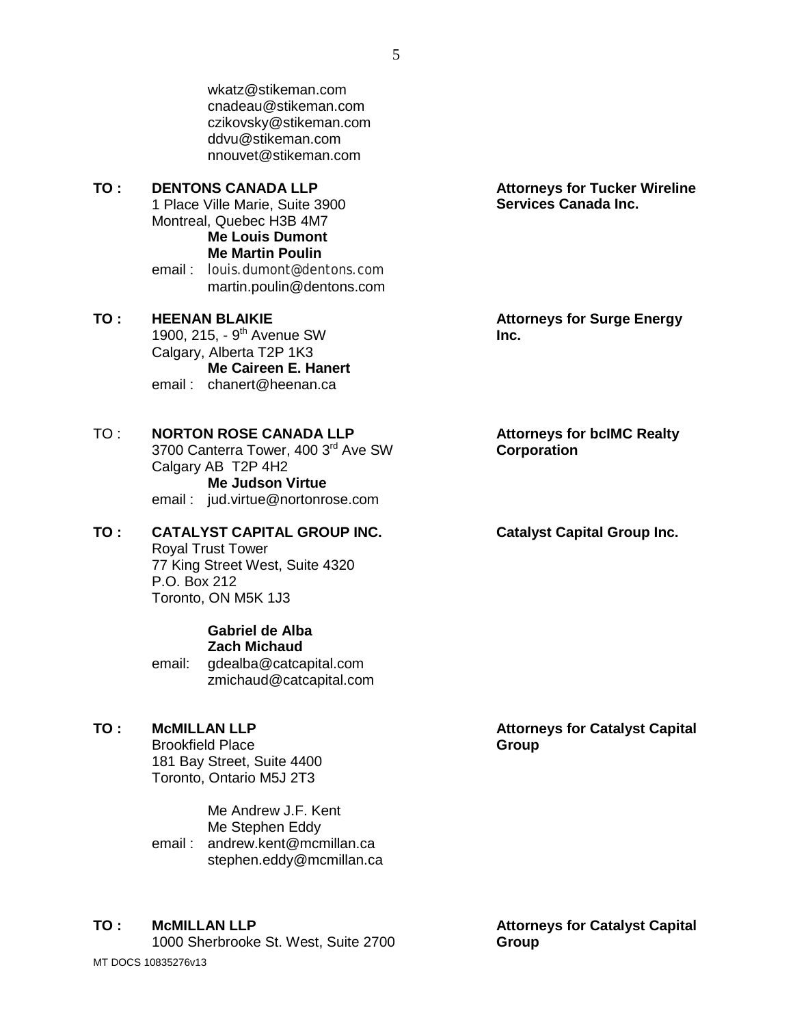wkatz@stikeman.com cnadeau@stikeman.com czikovsky@stikeman.com ddvu@stikeman.com nnouvet@stikeman.com

**TO : DENTONS CANADA LLP** 1 Place Ville Marie, Suite 3900 Montreal, Quebec H3B 4M7 **Me Louis Dumont**

### **Me Martin Poulin**

email : louis.dumont@dentons.com martin.poulin@dentons.com

**TO : HEENAN BLAIKIE** 1900, 215, - 9<sup>th</sup> Avenue SW Calgary, Alberta T2P 1K3 **Me Caireen E. Hanert** email : chanert@heenan.ca

TO : **NORTON ROSE CANADA LLP** 

3700 Canterra Tower, 400 3rd Ave SW Calgary AB T2P 4H2 **Me Judson Virtue** email : jud.virtue@nortonrose.com

#### **TO : CATALYST CAPITAL GROUP INC.** Royal Trust Tower 77 King Street West, Suite 4320 P.O. Box 212 Toronto, ON M5K 1J3

**Gabriel de Alba Zach Michaud**

email: gdealba@catcapital.com zmichaud@catcapital.com

### **TO : McMILLAN LLP**

Brookfield Place 181 Bay Street, Suite 4400 Toronto, Ontario M5J 2T3

Me Andrew J.F. Kent Me Stephen Eddy email : andrew.kent@mcmillan.ca stephen.eddy@mcmillan.ca

### **TO : McMILLAN LLP**

MT DOCS 10835276v13 1000 Sherbrooke St. West, Suite 2700 **Attorneys for Tucker Wireline Services Canada Inc.**

**Attorneys for Surge Energy Inc.**

### **Attorneys for bcIMC Realty Corporation**

#### **Catalyst Capital Group Inc.**

**Attorneys for Catalyst Capital Group**

**Attorneys for Catalyst Capital Group**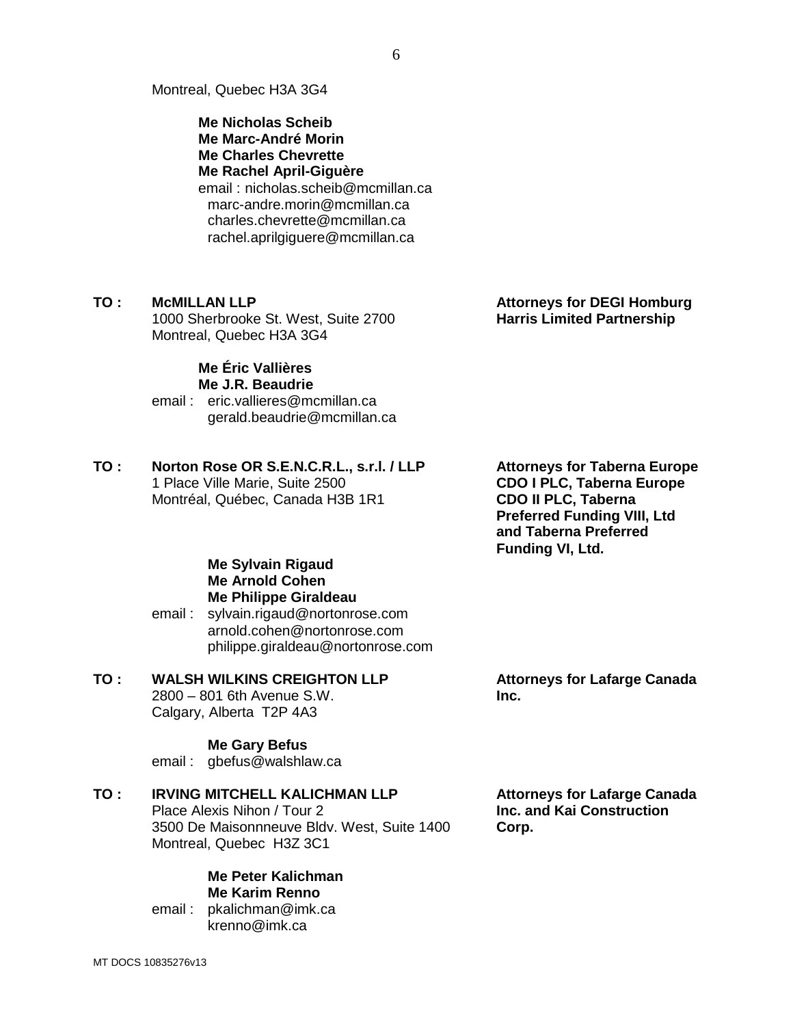Montreal, Quebec H3A 3G4

**Me Nicholas Scheib Me Marc-André Morin Me Charles Chevrette Me Rachel April-Giguère** email : nicholas.scheib@mcmillan.ca marc-andre.morin@mcmillan.ca charles.chevrette@mcmillan.ca rachel.aprilgiguere@mcmillan.ca

### **TO : McMILLAN LLP**

1000 Sherbrooke St. West, Suite 2700 Montreal, Quebec H3A 3G4

#### **Me Éric Vallières Me J.R. Beaudrie**

email : eric.vallieres@mcmillan.ca gerald.beaudrie@mcmillan.ca

# **TO : Norton Rose OR S.E.N.C.R.L., s.r.l. / LLP** 1 Place Ville Marie, Suite 2500

Montréal, Québec, Canada H3B 1R1

**Attorneys for Taberna Europe CDO I PLC, Taberna Europe CDO II PLC, Taberna Preferred Funding VIII, Ltd and Taberna Preferred Funding VI, Ltd.**

### **Me Sylvain Rigaud Me Arnold Cohen Me Philippe Giraldeau** email : sylvain.rigaud@nortonrose.com

arnold.cohen@nortonrose.com philippe.giraldeau@nortonrose.com

#### **TO : WALSH WILKINS CREIGHTON LLP** 2800 – 801 6th Avenue S.W.

Calgary, Alberta T2P 4A3

### **Me Gary Befus**

email : gbefus@walshlaw.ca

### **TO : IRVING MITCHELL KALICHMAN LLP**

Place Alexis Nihon / Tour 2 3500 De Maisonnneuve Bldv. West, Suite 1400 Montreal, Quebec H3Z 3C1

### **Me Peter Kalichman Me Karim Renno**

email : pkalichman@imk.ca krenno@imk.ca

**Attorneys for Lafarge Canada Inc. and Kai Construction Corp.**

**Attorneys for Lafarge Canada** 

**Inc.**

# **Attorneys for DEGI Homburg Harris Limited Partnership**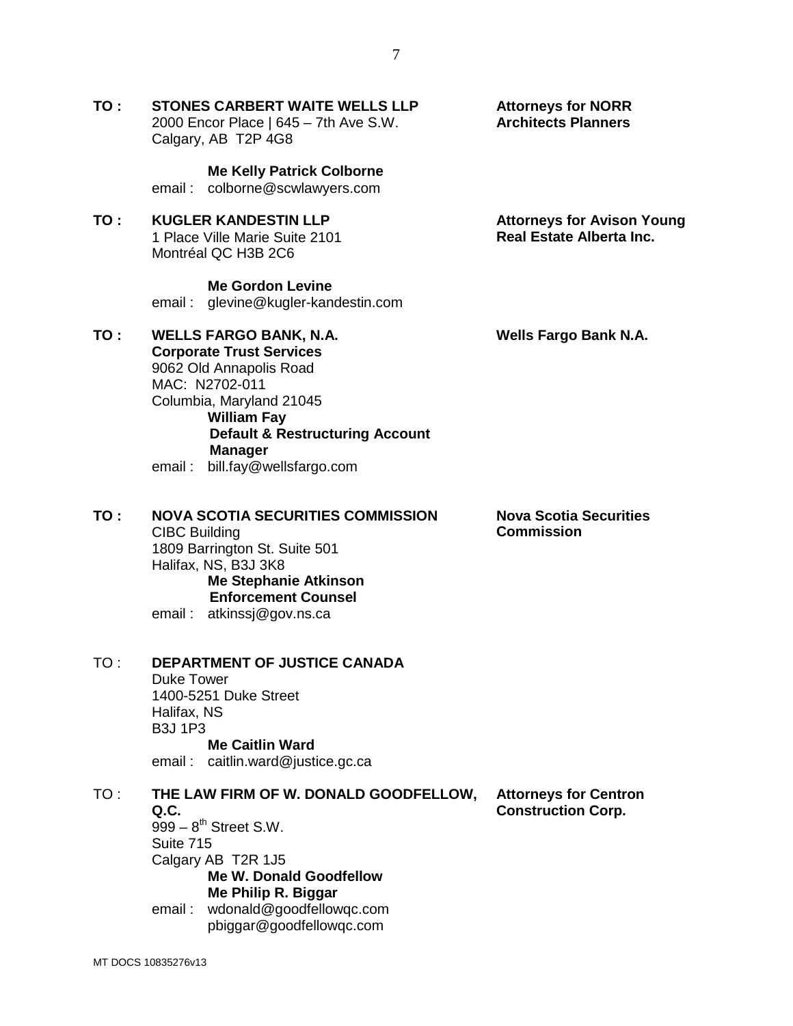**TO : STONES CARBERT WAITE WELLS LLP** 2000 Encor Place | 645 – 7th Ave S.W. Calgary, AB T2P 4G8

**Me Kelly Patrick Colborne**

email : colborne@scwlawyers.com

**TO : KUGLER KANDESTIN LLP** 1 Place Ville Marie Suite 2101 Montréal QC H3B 2C6

### **Me Gordon Levine**

email : glevine@kugler-kandestin.com

**TO : WELLS FARGO BANK, N.A. Corporate Trust Services**

MAC: N2702-011

9062 Old Annapolis Road

Columbia, Maryland 21045

**Manager** email : bill.fay@wellsfargo.com

**William Fay**

**Wells Fargo Bank N.A.**

**Nova Scotia Securities** 

**Commission**

**Attorneys for Avison Young Real Estate Alberta Inc.**

**Attorneys for NORR Architects Planners**

**TO : NOVA SCOTIA SECURITIES COMMISSION**

**Default & Restructuring Account** 

CIBC Building 1809 Barrington St. Suite 501 Halifax, NS, B3J 3K8 **Me Stephanie Atkinson Enforcement Counsel** email : atkinssj@gov.ns.ca

### TO : **DEPARTMENT OF JUSTICE CANADA**

Duke Tower 1400-5251 Duke Street Halifax, NS B3J 1P3 **Me Caitlin Ward**

email : caitlin.ward@justice.gc.ca

#### TO : **THE LAW FIRM OF W. DONALD GOODFELLOW, Q.C.**

 $999 - 8$ <sup>th</sup> Street S.W. Suite 715 Calgary AB T2R 1J5 **Me W. Donald Goodfellow Me Philip R. Biggar** email : wdonald@goodfellowqc.com

pbiggar@goodfellowqc.com

**Attorneys for Centron Construction Corp.**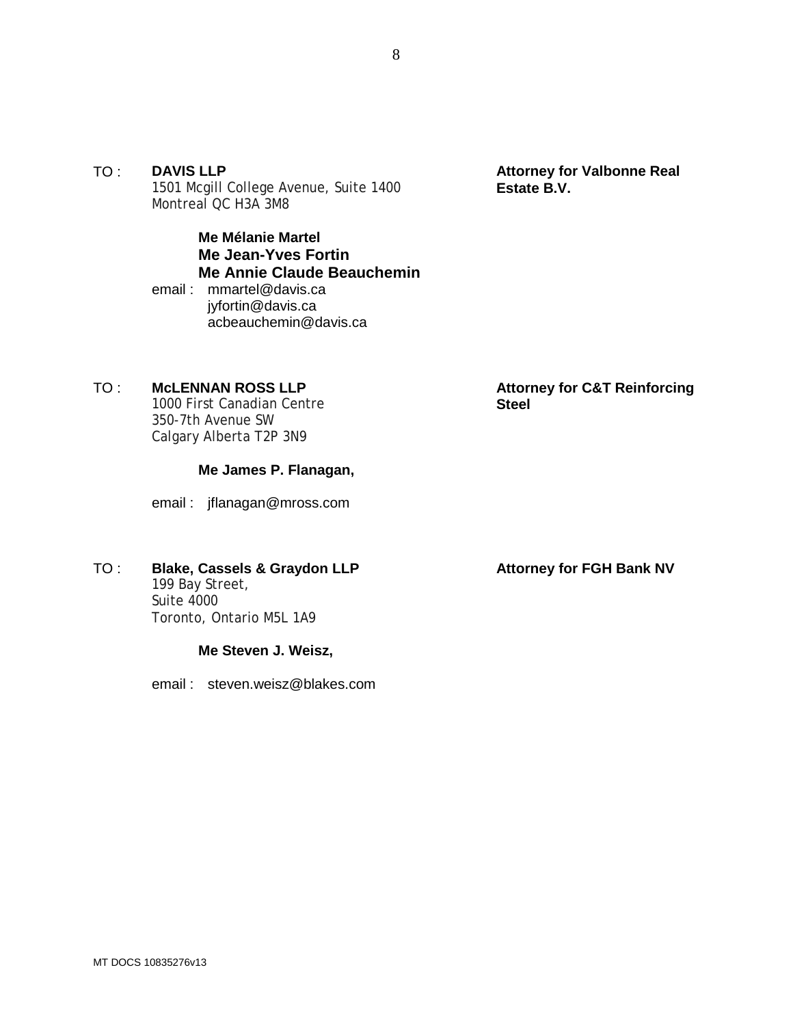TO : **DAVIS LLP** 1501 Mcgill College Avenue, Suite 1400 Montreal QC H3A 3M8

> **Me Mélanie Martel Me Jean-Yves Fortin Me Annie Claude Beauchemin** email : mmartel@davis.ca

jyfortin@davis.ca acbeauchemin@davis.ca

# TO : **McLENNAN ROSS LLP**

1000 First Canadian Centre 350-7th Avenue SW Calgary Alberta T2P 3N9

## **Me James P. Flanagan,**

email : jflanagan@mross.com

# TO : **Blake, Cassels & Graydon LLP**

199 Bay Street, Suite 4000 Toronto, Ontario M5L 1A9

# **Me Steven J. Weisz,**

email : steven.weisz@blakes.com

**Attorney for Valbonne Real Estate B.V.**

**Attorney for C&T Reinforcing Steel**

# **Attorney for FGH Bank NV**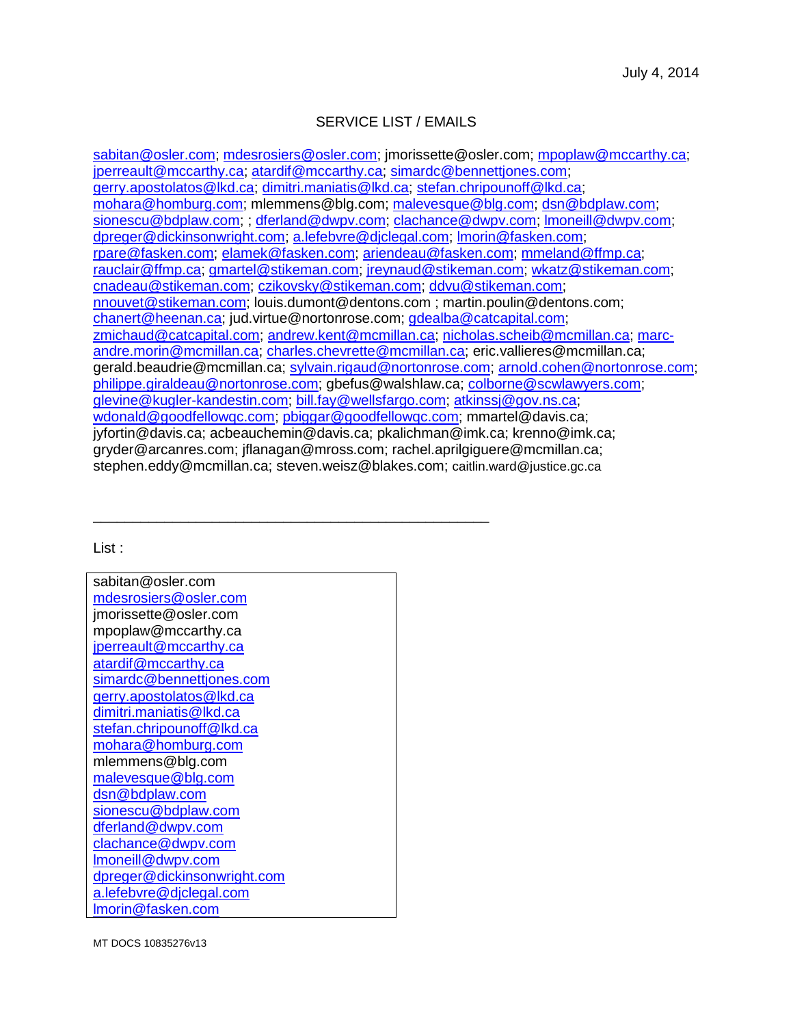# SERVICE LIST / EMAILS

sabitan@osler.com; mdesrosiers@osler.com; jmorissette@osler.com; mpoplaw@mccarthy.ca; iperreault@mccarthy.ca; atardif@mccarthy.ca; simardc@bennettjones.com; gerry.apostolatos@lkd.ca; dimitri.maniatis@lkd.ca; stefan.chripounoff@lkd.ca; mohara@homburg.com; mlemmens@blg.com; malevesque@blg.com; dsn@bdplaw.com; sionescu@bdplaw.com; ; dferland@dwpv.com; clachance@dwpv.com; lmoneill@dwpv.com; dpreger@dickinsonwright.com; a.lefebvre@djclegal.com; lmorin@fasken.com; rpare@fasken.com; elamek@fasken.com; ariendeau@fasken.com; mmeland@ffmp.ca; rauclair@ffmp.ca; gmartel@stikeman.com; jreynaud@stikeman.com; wkatz@stikeman.com; cnadeau@stikeman.com; czikovsky@stikeman.com; ddvu@stikeman.com; nnouvet@stikeman.com; louis.dumont@dentons.com ; martin.poulin@dentons.com; chanert@heenan.ca; jud.virtue@nortonrose.com; gdealba@catcapital.com; zmichaud@catcapital.com; andrew.kent@mcmillan.ca; nicholas.scheib@mcmillan.ca; marcandre.morin@mcmillan.ca; charles.chevrette@mcmillan.ca; eric.vallieres@mcmillan.ca; gerald.beaudrie@mcmillan.ca; sylvain.rigaud@nortonrose.com; arnold.cohen@nortonrose.com; philippe.giraldeau@nortonrose.com; gbefus@walshlaw.ca; colborne@scwlawyers.com; glevine@kugler-kandestin.com; bill.fay@wellsfargo.com; atkinssj@gov.ns.ca; wdonald@goodfellowgc.com; pbiggar@goodfellowgc.com; mmartel@davis.ca; jyfortin@davis.ca; acbeauchemin@davis.ca; pkalichman@imk.ca; krenno@imk.ca; gryder@arcanres.com; jflanagan@mross.com; rachel.aprilgiguere@mcmillan.ca; stephen.eddy@mcmillan.ca; steven.weisz@blakes.com; caitlin.ward@justice.gc.ca

#### List :

| sabitan@osler.com           |  |  |
|-----------------------------|--|--|
| mdesrosiers@osler.com       |  |  |
| jmorissette@osler.com       |  |  |
| mpoplaw@mccarthy.ca         |  |  |
| jperreault@mccarthy.ca      |  |  |
| atardif@mccarthy.ca         |  |  |
| simardc@bennettjones.com    |  |  |
| gerry.apostolatos@lkd.ca    |  |  |
| dimitri.maniatis@lkd.ca     |  |  |
| stefan.chripounoff@lkd.ca   |  |  |
| mohara@homburg.com          |  |  |
| mlemmens@blg.com            |  |  |
| malevesque@blg.com          |  |  |
| dsn@bdplaw.com              |  |  |
| sionescu@bdplaw.com         |  |  |
| dferland@dwpv.com           |  |  |
| <u>clachance@dwpv.com</u>   |  |  |
| Imoneill@dwpv.com           |  |  |
| dpreger@dickinsonwright.com |  |  |
| a.lefebvre@djclegal.com     |  |  |
| lmorin@fasken.com           |  |  |

\_\_\_\_\_\_\_\_\_\_\_\_\_\_\_\_\_\_\_\_\_\_\_\_\_\_\_\_\_\_\_\_\_\_\_\_\_\_\_\_\_\_\_\_\_\_\_\_\_\_

MT DOCS 10835276v13